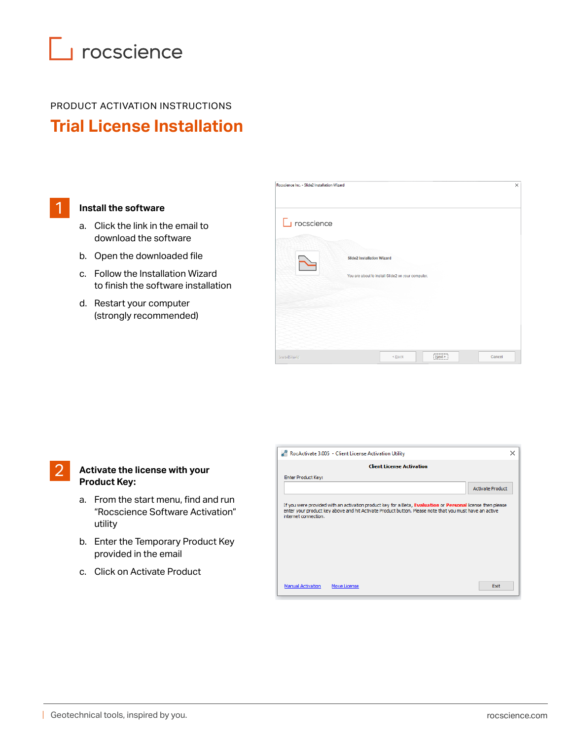# $\Box$  rocscience

### PRODUCT ACTIVATION INSTRUCTIONS **Trial License Installation**

### **Install the software**

1

- a. Click the link in the email to download the software
- b. Open the downloaded file
- c. Follow the Installation Wizard to finish the software installation
- d. Restart your computer (strongly recommended)

| Rocscience Inc. - Slide2 Installation Wizard |                                                                                        | $\times$ |
|----------------------------------------------|----------------------------------------------------------------------------------------|----------|
| $\Box$ rocscience                            | <b>Slide2 Installation Wizard</b><br>You are about to install Slide2 on your computer. |          |
| InstallShield                                | Next ><br>$\leq$ Back<br>Cancel                                                        |          |

#### **Activate the license with your Product Key:** 2

- a. From the start menu, find and run "Rocscience Software Activation" utility
- b. Enter the Temporary Product Key provided in the email
- c. Click on Activate Product

| RocActivate 3.005 - Client License Activation Utility                                                                                                                                                                                        |                         | × |
|----------------------------------------------------------------------------------------------------------------------------------------------------------------------------------------------------------------------------------------------|-------------------------|---|
| <b>Client License Activation</b>                                                                                                                                                                                                             |                         |   |
| <b>Enter Product Key:</b>                                                                                                                                                                                                                    |                         |   |
|                                                                                                                                                                                                                                              | <b>Activate Product</b> |   |
| If you were provided with an activation product key for a Beta, Evaluation or Personal license then please<br>enter your product key above and hit Activate Product button. Please note that you must have an active<br>internet connection. |                         |   |
| <b>Manual Activation</b><br>Move License                                                                                                                                                                                                     | Exit                    |   |